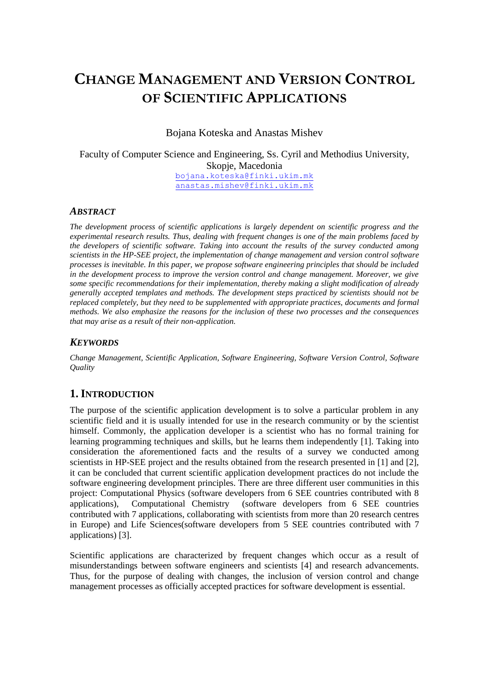# **CHANGE MANAGEMENT AND VERSION CONTROL OF SCIENTIFIC APPLICATIONS**

Bojana Koteska and Anastas Mishev

Faculty of Computer Science and Engineering, Ss. Cyril and Methodius University, Skopje, Macedonia [bojana.koteska@finki.ukim.mk](mailto:bojana.koteska@finki.ukim.mk) [anastas.mishev@finki.ukim.mk](mailto:anastas.mishev@finki.ukim.mk)

#### *ABSTRACT*

*The development process of scientific applications is largely dependent on scientific progress and the experimental research results. Thus, dealing with frequent changes is one of the main problems faced by the developers of scientific software. Taking into account the results of the survey conducted among scientists in the HP-SEE project, the implementation of change management and version control software processes is inevitable. In this paper, we propose software engineering principles that should be included in the development process to improve the version control and change management. Moreover, we give some specific recommendations for their implementation, thereby making a slight modification of already generally accepted templates and methods. The development steps practiced by scientists should not be replaced completely, but they need to be supplemented with appropriate practices, documents and formal methods. We also emphasize the reasons for the inclusion of these two processes and the consequences that may arise as a result of their non-application.*

### *KEYWORDS*

*Change Management, Scientific Application, Software Engineering, Software Version Control, Software Quality*

### **1.INTRODUCTION**

The purpose of the scientific application development is to solve a particular problem in any scientific field and it is usually intended for use in the research community or by the scientist himself. Commonly, the application developer is a scientist who has no formal training for learning programming techniques and skills, but he learns them independently [1]. Taking into consideration the aforementioned facts and the results of a survey we conducted among scientists in HP-SEE project and the results obtained from the research presented in [1] and [2], it can be concluded that current scientific application development practices do not include the software engineering development principles. There are three different user communities in this project: Computational Physics (software developers from 6 SEE countries contributed with 8 applications), Computational Chemistry (software developers from 6 SEE countries contributed with 7 applications, collaborating with scientists from more than 20 research centres in Europe) and Life Sciences(software developers from 5 SEE countries contributed with 7 applications) [3].

Scientific applications are characterized by frequent changes which occur as a result of misunderstandings between software engineers and scientists [4] and research advancements. Thus, for the purpose of dealing with changes, the inclusion of version control and change management processes as officially accepted practices for software development is essential.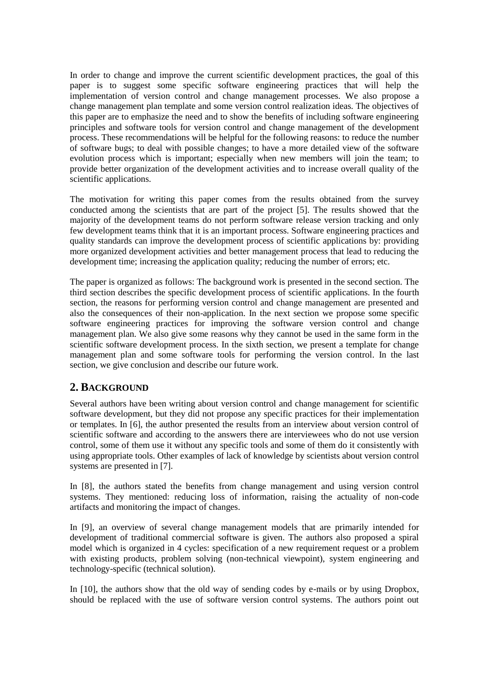In order to change and improve the current scientific development practices, the goal of this paper is to suggest some specific software engineering practices that will help the implementation of version control and change management processes. We also propose a change management plan template and some version control realization ideas. The objectives of this paper are to emphasize the need and to show the benefits of including software engineering principles and software tools for version control and change management of the development process. These recommendations will be helpful for the following reasons: to reduce the number of software bugs; to deal with possible changes; to have a more detailed view of the software evolution process which is important; especially when new members will join the team; to provide better organization of the development activities and to increase overall quality of the scientific applications.

The motivation for writing this paper comes from the results obtained from the survey conducted among the scientists that are part of the project [5]. The results showed that the majority of the development teams do not perform software release version tracking and only few development teams think that it is an important process. Software engineering practices and quality standards can improve the development process of scientific applications by: providing more organized development activities and better management process that lead to reducing the development time; increasing the application quality; reducing the number of errors; etc.

The paper is organized as follows: The background work is presented in the second section. The third section describes the specific development process of scientific applications. In the fourth section, the reasons for performing version control and change management are presented and also the consequences of their non-application. In the next section we propose some specific software engineering practices for improving the software version control and change management plan. We also give some reasons why they cannot be used in the same form in the scientific software development process. In the sixth section, we present a template for change management plan and some software tools for performing the version control. In the last section, we give conclusion and describe our future work.

# **2. BACKGROUND**

Several authors have been writing about version control and change management for scientific software development, but they did not propose any specific practices for their implementation or templates. In [6], the author presented the results from an interview about version control of scientific software and according to the answers there are interviewees who do not use version control, some of them use it without any specific tools and some of them do it consistently with using appropriate tools. Other examples of lack of knowledge by scientists about version control systems are presented in [7].

In [8], the authors stated the benefits from change management and using version control systems. They mentioned: reducing loss of information, raising the actuality of non-code artifacts and monitoring the impact of changes.

In [9], an overview of several change management models that are primarily intended for development of traditional commercial software is given. The authors also proposed a spiral model which is organized in 4 cycles: specification of a new requirement request or a problem with existing products, problem solving (non-technical viewpoint), system engineering and technology-specific (technical solution).

In [10], the authors show that the old way of sending codes by e-mails or by using Dropbox, should be replaced with the use of software version control systems. The authors point out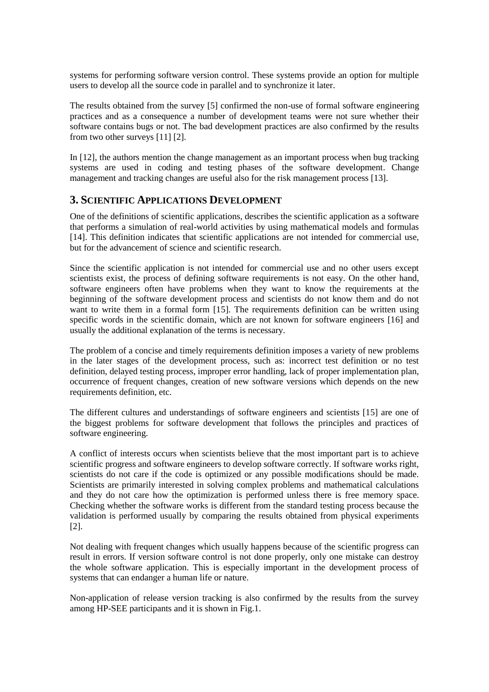systems for performing software version control. These systems provide an option for multiple users to develop all the source code in parallel and to synchronize it later.

The results obtained from the survey [5] confirmed the non-use of formal software engineering practices and as a consequence a number of development teams were not sure whether their software contains bugs or not. The bad development practices are also confirmed by the results from two other surveys [11] [2].

In [12], the authors mention the change management as an important process when bug tracking systems are used in coding and testing phases of the software development. Change management and tracking changes are useful also for the risk management process [13].

## **3. SCIENTIFIC APPLICATIONS DEVELOPMENT**

One of the definitions of scientific applications, describes the scientific application as a software that performs a simulation of real-world activities by using mathematical models and formulas [14]. This definition indicates that scientific applications are not intended for commercial use, but for the advancement of science and scientific research.

Since the scientific application is not intended for commercial use and no other users except scientists exist, the process of defining software requirements is not easy. On the other hand, software engineers often have problems when they want to know the requirements at the beginning of the software development process and scientists do not know them and do not want to write them in a formal form [15]. The requirements definition can be written using specific words in the scientific domain, which are not known for software engineers [16] and usually the additional explanation of the terms is necessary.

The problem of a concise and timely requirements definition imposes a variety of new problems in the later stages of the development process, such as: incorrect test definition or no test definition, delayed testing process, improper error handling, lack of proper implementation plan, occurrence of frequent changes, creation of new software versions which depends on the new requirements definition, etc.

The different cultures and understandings of software engineers and scientists [15] are one of the biggest problems for software development that follows the principles and practices of software engineering.

A conflict of interests occurs when scientists believe that the most important part is to achieve scientific progress and software engineers to develop software correctly. If software works right, scientists do not care if the code is optimized or any possible modifications should be made. Scientists are primarily interested in solving complex problems and mathematical calculations and they do not care how the optimization is performed unless there is free memory space. Checking whether the software works is different from the standard testing process because the validation is performed usually by comparing the results obtained from physical experiments [2].

Not dealing with frequent changes which usually happens because of the scientific progress can result in errors. If version software control is not done properly, only one mistake can destroy the whole software application. This is especially important in the development process of systems that can endanger a human life or nature.

Non-application of release version tracking is also confirmed by the results from the survey among HP-SEE participants and it is shown in Fig.1.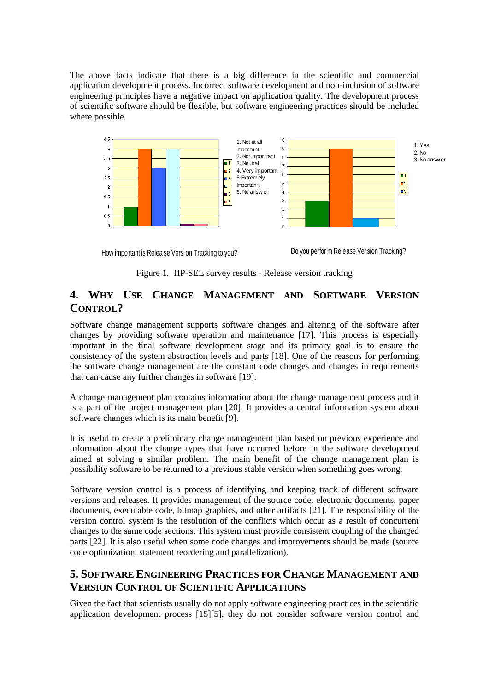The above facts indicate that there is a big difference in the scientific and commercial application development process. Incorrect software development and non-inclusion of software engineering principles have a negative impact on application quality. The development process of scientific software should be flexible, but software engineering practices should be included where possible.



How important is Relea se Version Tracking to you? Do you perfor m Release Version Tracking?

Figure 1. HP-SEE survey results - Release version tracking

# **4. WHY USE CHANGE MANAGEMENT AND SOFTWARE VERSION CONTROL?**

Software change management supports software changes and altering of the software after changes by providing software operation and maintenance [17]. This process is especially important in the final software development stage and its primary goal is to ensure the consistency of the system abstraction levels and parts [18]. One of the reasons for performing the software change management are the constant code changes and changes in requirements that can cause any further changes in software [19].

A change management plan contains information about the change management process and it is a part of the project management plan [20]. It provides a central information system about software changes which is its main benefit [9].

It is useful to create a preliminary change management plan based on previous experience and information about the change types that have occurred before in the software development aimed at solving a similar problem. The main benefit of the change management plan is possibility software to be returned to a previous stable version when something goes wrong.

Software version control is a process of identifying and keeping track of different software versions and releases. It provides management of the source code, electronic documents, paper documents, executable code, bitmap graphics, and other artifacts [21]. The responsibility of the version control system is the resolution of the conflicts which occur as a result of concurrent changes to the same code sections. This system must provide consistent coupling of the changed parts [22]. It is also useful when some code changes and improvements should be made (source code optimization, statement reordering and parallelization).

# **5. SOFTWARE ENGINEERING PRACTICES FOR CHANGE MANAGEMENT AND VERSION CONTROL OF SCIENTIFIC APPLICATIONS**

Given the fact that scientists usually do not apply software engineering practices in the scientific application development process [15][5], they do not consider software version control and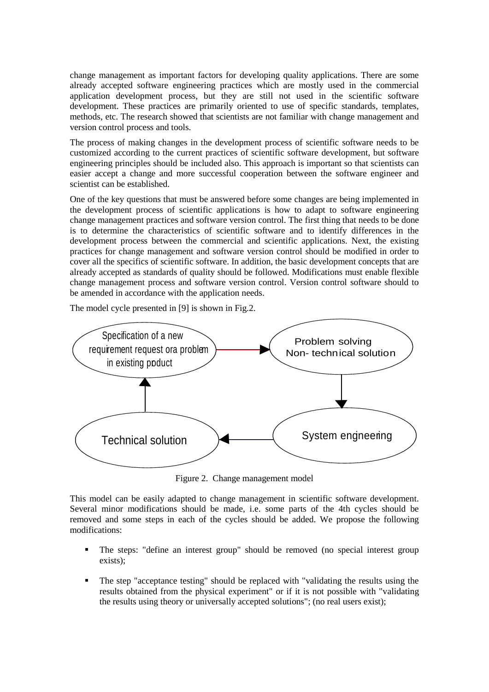change management as important factors for developing quality applications. There are some already accepted software engineering practices which are mostly used in the commercial application development process, but they are still not used in the scientific software development. These practices are primarily oriented to use of specific standards, templates, methods, etc. The research showed that scientists are not familiar with change management and version control process and tools.

The process of making changes in the development process of scientific software needs to be customized according to the current practices of scientific software development, but software engineering principles should be included also. This approach is important so that scientists can easier accept a change and more successful cooperation between the software engineer and scientist can be established.

One of the key questions that must be answered before some changes are being implemented in the development process of scientific applications is how to adapt to software engineering change management practices and software version control. The first thing that needs to be done is to determine the characteristics of scientific software and to identify differences in the development process between the commercial and scientific applications. Next, the existing practices for change management and software version control should be modified in order to cover all the specifics of scientific software. In addition, the basic development concepts that are already accepted as standards of quality should be followed. Modifications must enable flexible change management process and software version control. Version control software should to be amended in accordance with the application needs.

The model cycle presented in [9] is shown in Fig.2.



Figure 2. Change management model

This model can be easily adapted to change management in scientific software development. Several minor modifications should be made, i.e. some parts of the 4th cycles should be removed and some steps in each of the cycles should be added. We propose the following modifications:

- The steps: "define an interest group" should be removed (no special interest group exists);
- The step "acceptance testing" should be replaced with "validating the results using the results obtained from the physical experiment" or if it is not possible with "validating the results using theory or universally accepted solutions"; (no real users exist);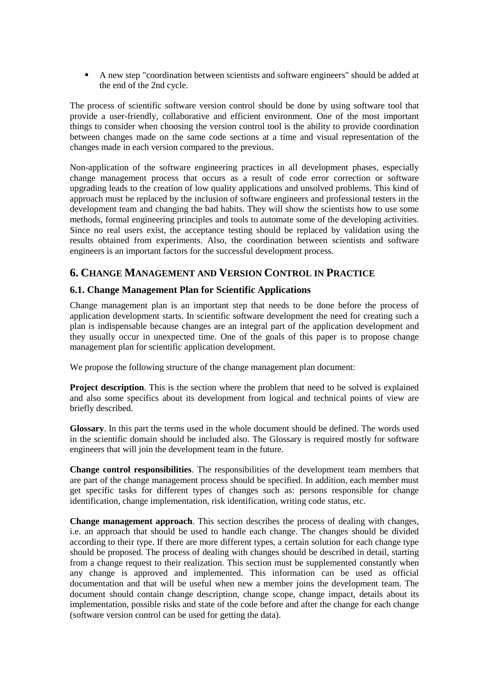A new step "coordination between scientists and software engineers" should be added at the end of the 2nd cycle.

The process of scientific software version control should be done by using software tool that provide a user-friendly, collaborative and efficient environment. One of the most important things to consider when choosing the version control tool is the ability to provide coordination between changes made on the same code sections at a time and visual representation of the changes made in each version compared to the previous.

Non-application of the software engineering practices in all development phases, especially change management process that occurs as a result of code error correction or software upgrading leads to the creation of low quality applications and unsolved problems. This kind of approach must be replaced by the inclusion of software engineers and professional testers in the development team and changing the bad habits. They will show the scientists how to use some methods, formal engineering principles and tools to automate some of the developing activities. Since no real users exist, the acceptance testing should be replaced by validation using the results obtained from experiments. Also, the coordination between scientists and software engineers is an important factors for the successful development process.

# **6. CHANGE MANAGEMENT AND VERSION CONTROL IN PRACTICE**

### **6.1. Change Management Plan for Scientific Applications**

Change management plan is an important step that needs to be done before the process of application development starts. In scientific software development the need for creating such a plan is indispensable because changes are an integral part of the application development and they usually occur in unexpected time. One of the goals of this paper is to propose change management plan for scientific application development.

We propose the following structure of the change management plan document:

**Project description**. This is the section where the problem that need to be solved is explained and also some specifics about its development from logical and technical points of view are briefly described.

**Glossary**. In this part the terms used in the whole document should be defined. The words used in the scientific domain should be included also. The Glossary is required mostly for software engineers that will join the development team in the future.

**Change control responsibilities**. The responsibilities of the development team members that are part of the change management process should be specified. In addition, each member must get specific tasks for different types of changes such as: persons responsible for change identification, change implementation, risk identification, writing code status, etc.

**Change management approach**. This section describes the process of dealing with changes, i.e. an approach that should be used to handle each change. The changes should be divided according to their type. If there are more different types, a certain solution for each change type should be proposed. The process of dealing with changes should be described in detail, starting from a change request to their realization. This section must be supplemented constantly when any change is approved and implemented. This information can be used as official documentation and that will be useful when new a member joins the development team. The document should contain change description, change scope, change impact, details about its implementation, possible risks and state of the code before and after the change for each change (software version control can be used for getting the data).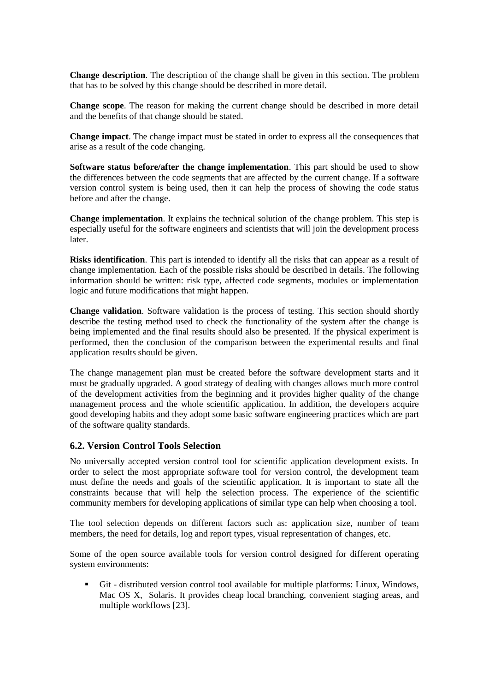**Change description**. The description of the change shall be given in this section. The problem that has to be solved by this change should be described in more detail.

**Change scope**. The reason for making the current change should be described in more detail and the benefits of that change should be stated.

**Change impact**. The change impact must be stated in order to express all the consequences that arise as a result of the code changing.

**Software status before/after the change implementation**. This part should be used to show the differences between the code segments that are affected by the current change. If a software version control system is being used, then it can help the process of showing the code status before and after the change.

**Change implementation**. It explains the technical solution of the change problem. This step is especially useful for the software engineers and scientists that will join the development process later.

**Risks identification**. This part is intended to identify all the risks that can appear as a result of change implementation. Each of the possible risks should be described in details. The following information should be written: risk type, affected code segments, modules or implementation logic and future modifications that might happen.

**Change validation**. Software validation is the process of testing. This section should shortly describe the testing method used to check the functionality of the system after the change is being implemented and the final results should also be presented. If the physical experiment is performed, then the conclusion of the comparison between the experimental results and final application results should be given.

The change management plan must be created before the software development starts and it must be gradually upgraded. A good strategy of dealing with changes allows much more control of the development activities from the beginning and it provides higher quality of the change management process and the whole scientific application. In addition, the developers acquire good developing habits and they adopt some basic software engineering practices which are part of the software quality standards.

### **6.2. Version Control Tools Selection**

No universally accepted version control tool for scientific application development exists. In order to select the most appropriate software tool for version control, the development team must define the needs and goals of the scientific application. It is important to state all the constraints because that will help the selection process. The experience of the scientific community members for developing applications of similar type can help when choosing a tool.

The tool selection depends on different factors such as: application size, number of team members, the need for details, log and report types, visual representation of changes, etc.

Some of the open source available tools for version control designed for different operating system environments:

 Git - distributed version control tool available for multiple platforms: Linux, Windows, Mac OS X, Solaris. It provides cheap local branching, convenient staging areas, and multiple workflows [23].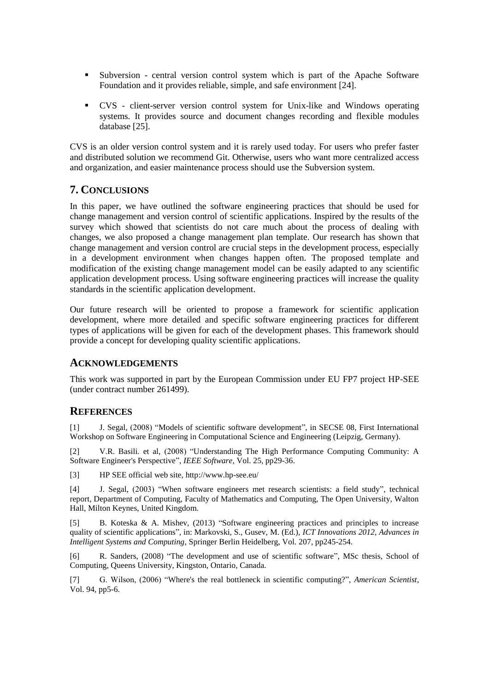- Subversion central version control system which is part of the Apache Software Foundation and it provides reliable, simple, and safe environment [24].
- CVS client-server version control system for Unix-like and Windows operating systems. It provides source and document changes recording and flexible modules database [25].

CVS is an older version control system and it is rarely used today. For users who prefer faster and distributed solution we recommend Git. Otherwise, users who want more centralized access and organization, and easier maintenance process should use the Subversion system.

## **7. CONCLUSIONS**

In this paper, we have outlined the software engineering practices that should be used for change management and version control of scientific applications. Inspired by the results of the survey which showed that scientists do not care much about the process of dealing with changes, we also proposed a change management plan template. Our research has shown that change management and version control are crucial steps in the development process, especially in a development environment when changes happen often. The proposed template and modification of the existing change management model can be easily adapted to any scientific application development process. Using software engineering practices will increase the quality standards in the scientific application development.

Our future research will be oriented to propose a framework for scientific application development, where more detailed and specific software engineering practices for different types of applications will be given for each of the development phases. This framework should provide a concept for developing quality scientific applications.

### **ACKNOWLEDGEMENTS**

This work was supported in part by the European Commission under EU FP7 project HP-SEE (under contract number 261499).

### **REFERENCES**

[1] J. Segal, (2008) "Models of scientific software development", in SECSE 08, First International Workshop on Software Engineering in Computational Science and Engineering (Leipzig, Germany).

[2] V.R. Basili. et al, (2008) "Understanding The High Performance Computing Community: A Software Engineer's Perspective", *IEEE Software*, Vol. 25, pp29-36.

[3] HP SEE official web site, http://www.hp-see.eu/

[4] J. Segal, (2003) "When software engineers met research scientists: a field study", technical report, Department of Computing, Faculty of Mathematics and Computing, The Open University, Walton Hall, Milton Keynes, United Kingdom.

[5] B. Koteska & A. Mishev, (2013) "Software engineering practices and principles to increase quality of scientific applications", in: Markovski, S., Gusev, M. (Ed.), *ICT Innovations 2012, Advances in Intelligent Systems and Computing*, Springer Berlin Heidelberg, Vol. 207, pp245-254.

[6] R. Sanders, (2008) "The development and use of scientific software", MSc thesis, School of Computing, Queens University, Kingston, Ontario, Canada.

[7] G. Wilson, (2006) "Where's the real bottleneck in scientific computing?", *American Scientist*, Vol. 94, pp5-6.